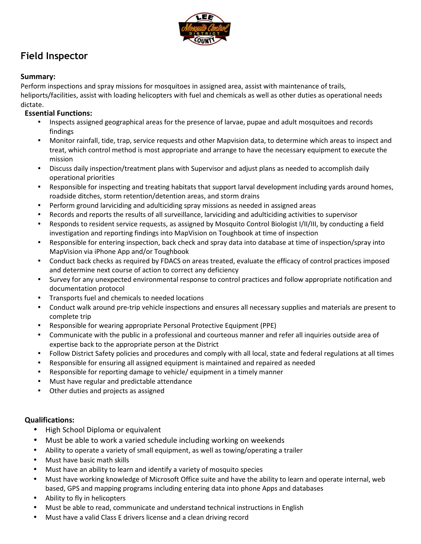

# **Field Inspector**

# **Summary:**

Perform inspections and spray missions for mosquitoes in assigned area, assist with maintenance of trails, heliports/facilities, assist with loading helicopters with fuel and chemicals as well as other duties as operational needs dictate.

# **Essential Functions:**

- Inspects assigned geographical areas for the presence of larvae, pupae and adult mosquitoes and records findings
- Monitor rainfall, tide, trap, service requests and other Mapvision data, to determine which areas to inspect and treat, which control method is most appropriate and arrange to have the necessary equipment to execute the mission
- Discuss daily inspection/treatment plans with Supervisor and adjust plans as needed to accomplish daily operational priorities
- Responsible for inspecting and treating habitats that support larval development including yards around homes, roadside ditches, storm retention/detention areas, and storm drains
- Perform ground larviciding and adulticiding spray missions as needed in assigned areas
- Records and reports the results of all surveillance, larviciding and adulticiding activities to supervisor
- Responds to resident service requests, as assigned by Mosquito Control Biologist I/II/III, by conducting a field investigation and reporting findings into MapVision on Toughbook at time of inspection
- Responsible for entering inspection, back check and spray data into database at time of inspection/spray into MapVision via iPhone App and/or Toughbook
- Conduct back checks as required by FDACS on areas treated, evaluate the efficacy of control practices imposed and determine next course of action to correct any deficiency
- Survey for any unexpected environmental response to control practices and follow appropriate notification and documentation protocol
- Transports fuel and chemicals to needed locations
- Conduct walk around pre-trip vehicle inspections and ensures all necessary supplies and materials are present to complete trip
- Responsible for wearing appropriate Personal Protective Equipment (PPE)
- Communicate with the public in a professional and courteous manner and refer all inquiries outside area of expertise back to the appropriate person at the District
- Follow District Safety policies and procedures and comply with all local, state and federal regulations at all times
- Responsible for ensuring all assigned equipment is maintained and repaired as needed
- Responsible for reporting damage to vehicle/ equipment in a timely manner
- Must have regular and predictable attendance
- Other duties and projects as assigned

### **Qualifications:**

- High School Diploma or equivalent
- Must be able to work a varied schedule including working on weekends
- Ability to operate a variety of small equipment, as well as towing/operating a trailer
- Must have basic math skills
- Must have an ability to learn and identify a variety of mosquito species
- Must have working knowledge of Microsoft Office suite and have the ability to learn and operate internal, web based, GPS and mapping programs including entering data into phone Apps and databases
- Ability to fly in helicopters
- Must be able to read, communicate and understand technical instructions in English
- Must have a valid Class E drivers license and a clean driving record